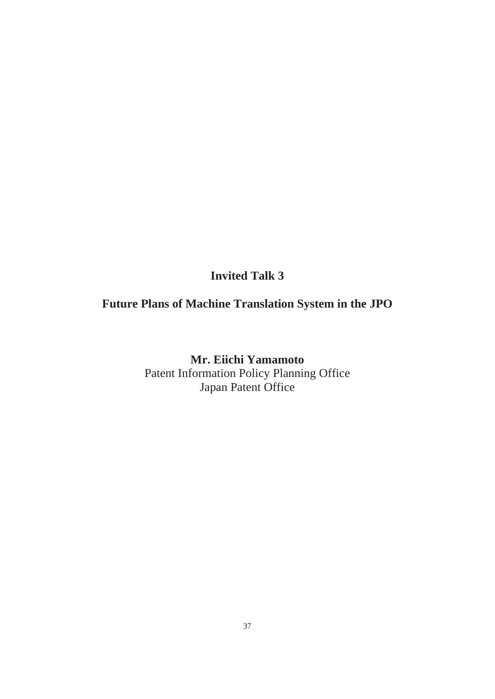**Invited Talk 3** 

#### **Future Plans of Machine Translation System in the JPO**

**Mr. Eiichi Yamamoto**  Patent Information Policy Planning Office Japan Patent Office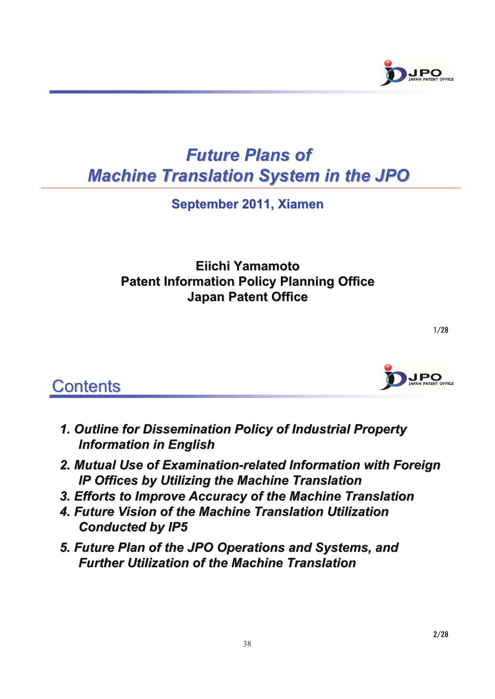

## *Future Plans of Future Plans of Machine Translation System in the JPO Machine Translation System in the JPO*

**September 2011, Xiamen September 2011, Xiamen**

#### **Eiichi Yamamoto Eiichi Yamamoto Patent Information Policy Planning Office Japan Patent Office Japan Patent Office**

## **Contents**

- *1. Outline for Dissemination Policy of Industrial Property issemination Policy of Industrial Property Information in English Information in English*
- *2. Mutual Use of Examination 2. Mutual Use of Examination-related Information with related Information with Foreign Foreign IP Offices by Utilizing the Machine Translation IP Offices by Utilizing the Machine Translation*
- *3. Efforts to Improve Accuracy of the Machine Translation 3. Efforts to Improve Accuracy of the Machine Translation*
- *4. Future Vision of the 4. Future Vision of the Machine Translation Utilization Machine Translation Utilization Conducted by IP5 Conducted by IP5*
- **5. Future Plan of the JPO Operations and Systems, and** *Further Utilization of the Machine Translation Further Utilization of the Machine Translation*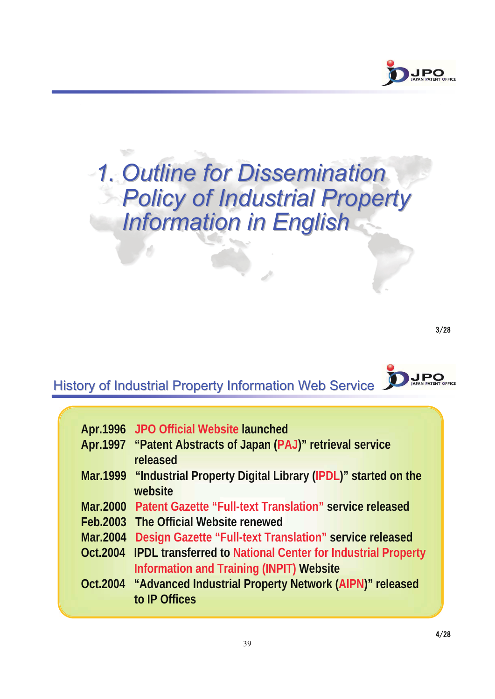

# **1. Outline for Dissemination Policy of Industrial Property** *Information in English Information in English*

 $3/28$ 

**JPO** 

## History of Industrial Property Information Web Service

| Apr.1996 JPO Official Website launched                                      |
|-----------------------------------------------------------------------------|
| Apr.1997 "Patent Abstracts of Japan (PAJ)" retrieval service                |
| released                                                                    |
| Mar.1999 "Industrial Property Digital Library (IPDL)" started on the        |
| website                                                                     |
| Mar.2000 Patent Gazette "Full-text Translation" service released            |
| Feb. 2003 The Official Website renewed                                      |
| Mar.2004 Design Gazette "Full-text Translation" service released            |
| <b>Oct.2004 IPDL transferred to National Center for Industrial Property</b> |
| <b>Information and Training (INPIT) Website</b>                             |
| Oct.2004 "Advanced Industrial Property Network (AIPN)" released             |
| to IP Offices                                                               |
|                                                                             |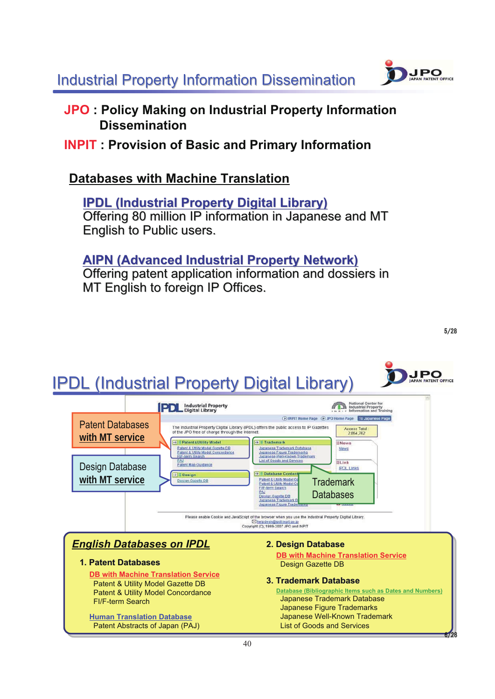**Industrial Property Information Dissemination** 



#### **JPO : Policy Making on Industrial Property Information Dissemination**

#### **INPIT : Provision of Basic and Primary Information**

#### **Databases with Machine Translation**

**IPDL (Industrial Property Digital Library) IPDL (Industrial Property Digital Library)** Offering 80 million IP information in Japanese and MT English to Public users.

#### **AIPN (Advanced Industrial Property Network) AIPN (Advanced Industrial Property Network)**

Offering patent application information and dossiers in MT English to foreign IP Offices.

**JPO** 

## **IPDL (Industrial Property Digital Library)**

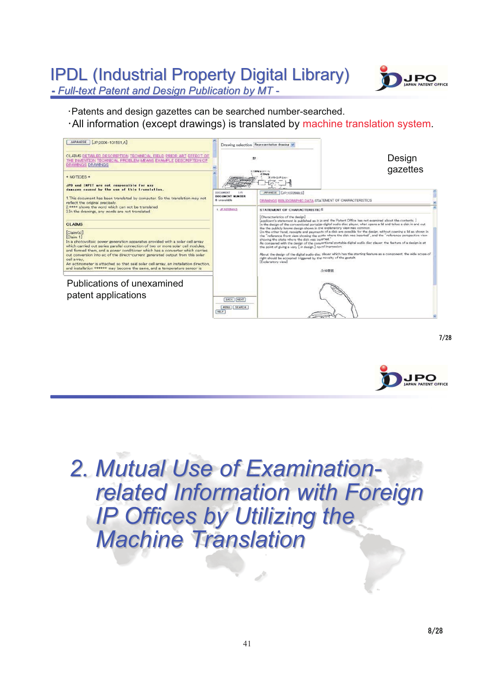## **IPDL (Industrial Property Digital Library)**



<u>- Full-text Patent and Design Publication by MT -</u>

Patents and design gazettes can be searched number-searched. -

All information (except drawings) is translated by machine translation system.





 $7/28$ 

**2. Mutual Use of Examination**related Information with Foreign *IP Offices by Utilizing the Machine Translation Machine Translation*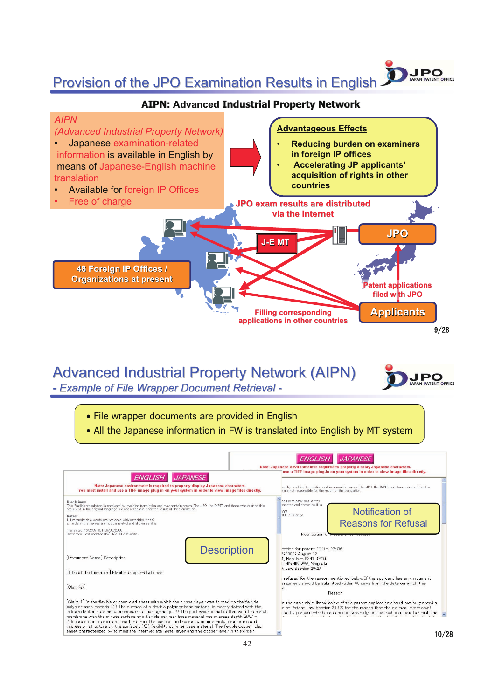#### Provision of the JPO Examination Results in English

#### **AIPN: Advanced Industrial Property Network**



## Advanced Industrial Property Network (AIPN)

*- Example of File Wrapper Document Retrieval Example of File Wrapper Document Retrieval -*



JPO

ATENT OFFICE

• File wrapper documents are provided in English • All the Japanese information in FW is translated into English by MT system ENGLISH JAPANESE Note: Japa ese environment is required to properly display Japanese characters.<br>use a TIFF image plug-in on your system in order to view image files directly. ENGLISH JAPANESE Note: Japanese environment is required to properly display Japanese characters.<br>You must install and use a TIFF image plug-in on your system in order to view image files directly. ed by machine translation and may contain errors. The JPO, the INPIT, and those who drafted this<br>are not responsible for the result of the translation. :<br>ed with asterisks (\*\*\*\*)<br>nslated and shown as it is Disclaimer:<br>This English translation is produced by machine translation and may contain errors. The JPO, the INPIT, and those who drafted this<br>document in the original language are not responsible for the result of the tra Notification of  $\begin{array}{c} 008 \\ 008 \; / \; \mathrm{Priority} \end{array}$ notes:<br>1. Untranslatable words are replaced with asterisks (\*\*\*\*).<br>2. Texts in the figures are not translated and shown as it is Reasons for Refusal Translated: 16:32:55 JST 06/05/2008<br>Dictionary: Last updated 05/30/2008 / Priority: Notification **Description** cation for patent 2001-123456 Sation for patent 2001-<br>5(2003) August 12<br>**I**, Nobuhiro 9341 3800<br>:: NISHIKAWA, Shigeaki<br>t Law Section 29(2) [Document Name] Description

[Title of the Invention] Flexible copper-clad sheet

 $[Claim(s)]$ 

 $\textbf{IClaim 1] In the flexible copper-clad sheet with which the copper layer was formed on the flexible polymer base material (1) The surface of a flexible polymer base material is mostly dotted with the material independent minute metal memberal number at homogeneous, for The part which is not dotted with the membrane with the minute surface of a flexible polymer base material has averaged depth (d)0.1-2.0micrometer inpression structure from the surface of 3) flexibility polymer base material. The flexible copper-clad sheet characterized by forming the intermediate metal layer and the copper layer in this order.$ 

refused for the reason mentioned below. If the applicant has any argument<br>argument should be submitted within 60 days from the date on which this Reason

n the each claim listed below of this patent application should not be granted a<br>n of Patent Law Section 29 (2) for the reason that the claimed invention(s)<br>ade by persons who have common knowledge in the technical field t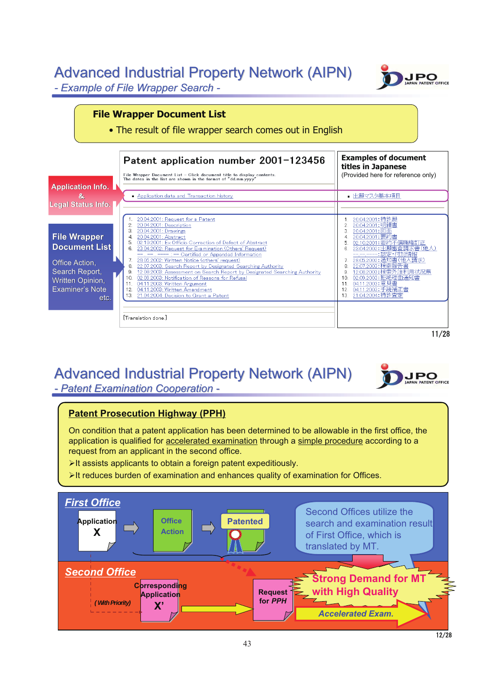#### Advanced Industrial Property Network (AIPN) *- Example of File Wrapper Search Example of File Wrapper Search -*



**JPO** PATENT OFFICE

#### **File Wrapper Document List**

• The result of file wrapper search comes out in English



## Advanced Industrial Property Network (AIPN)

**-** Patent Examination Cooperation -

#### **Patent Prosecution Highway (PPH)**

On condition that a patent application has been determined to be allowable in the first office, the application is qualified for accelerated examination through a simple procedure according to a request from an applicant in the second office.

- -It assists applicants to obtain a foreign patent expeditiously.
- -It reduces burden of examination and enhances quality of examination for Offices.

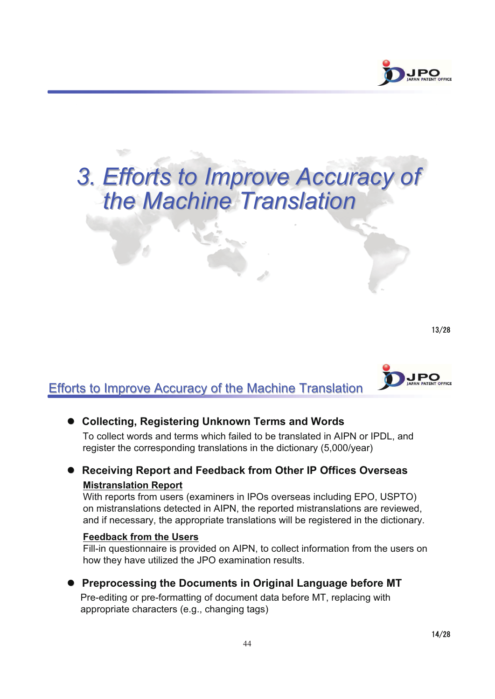

# **3. Efforts to Improve Accuracy of** *the Machine Translation the Machine Translation*

 $13/28$ 



#### Efforts to Improve Accuracy of the Machine Translation

#### **Collecting, Registering Unknown Terms and Words**

To collect words and terms which failed to be translated in AIPN or IPDL, and register the corresponding translations in the dictionary (5,000/year)

#### **Receiving Report and Feedback from Other IP Offices Overseas Mistranslation Report**

With reports from users (examiners in IPOs overseas including EPO, USPTO) on mistranslations detected in AIPN, the reported mistranslations are reviewed, and if necessary, the appropriate translations will be registered in the dictionary.

#### **Feedback from the Users**

Fill-in questionnaire is provided on AIPN, to collect information from the users on how they have utilized the JPO examination results.

 **Preprocessing the Documents in Original Language before MT** Pre-editing or pre-formatting of document data before MT, replacing with appropriate characters (e.g., changing tags)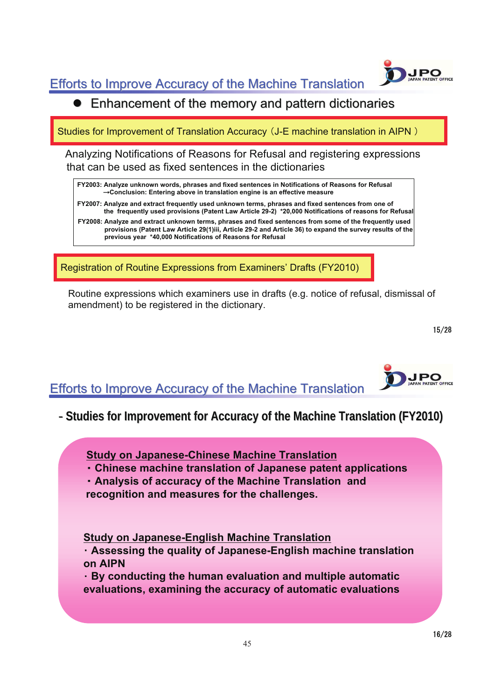Efforts to Improve Accuracy of the Machine Translation



Studies for Improvement of Translation Accuracy (J-E machine translation in AIPN)

Analyzing Notifications of Reasons for Refusal and registering expressions that can be used as fixed sentences in the dictionaries

**FY2003: Analyze unknown words, phrases and fixed sentences in Notifications of Reasons for Refusal Conclusion: Entering above in translation engine is an effective measure**

**FY2007: Analyze and extract frequently used unknown terms, phrases and fixed sentences from one of the frequently used provisions (Patent Law Article 29-2) \*20,000 Notifications of reasons for Refusal FY2008: Analyze and extract unknown terms, phrases and fixed sentences from some of the frequently used provisions (Patent Law Article 29(1)iii, Article 29-2 and Article 36) to expand the survey results of the previous year \*40,000 Notifications of Reasons for Refusal**

Registration of Routine Expressions from Examiners' Drafts (FY2010)

Routine expressions which examiners use in drafts (e.g. notice of refusal, dismissal of amendment) to be registered in the dictionary.

 $15/28$ 



#### **Efforts to Improve Accuracy of the Machine Translation**

- **Studies for Improvement for Accuracy of the Machine Translation Studies for Improvement for Accuracy of the Machine Translation (FY2010) (FY2010)**

**Study on Japanese-Chinese Machine Translation**  $\overline{a}$  $\overline{a}$ 

- **Chinese machine translation of Japanese patent applications**
- **Analysis of accuracy of the Machine Translation and**

**recognition and measures for the challenges.**

**Study on Japanese-English Machine Translation** -

 **Assessing the quality of Japanese-English machine translation on AIPN**

 **By conducting the human evaluation and multiple automatic evaluations, examining the accuracy of automatic evaluations**

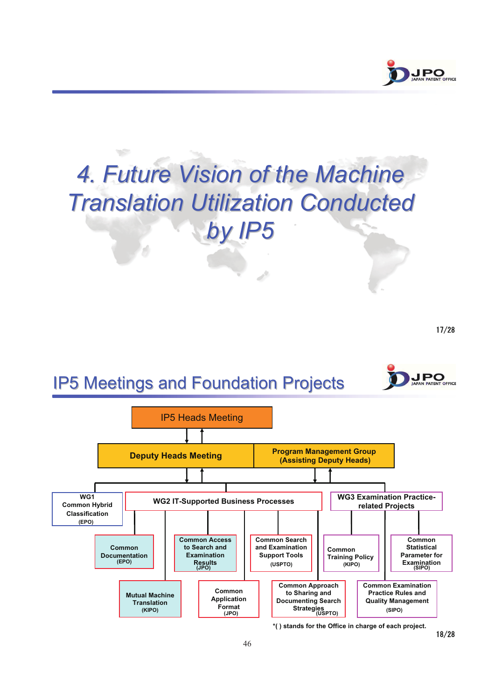

# **4. Future Vision of the Machine** *Translation Utilization Conducted Translation Utilization Conducted by IP5*

 $17/28$ 

**JPO** PATENT OFFICE

## **IP5 Meetings and Foundation Projects**



 $18/28$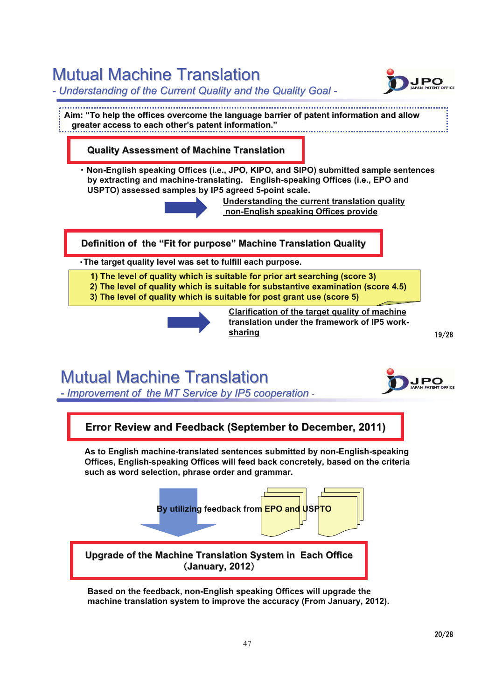## **Mutual Machine Translation**

- Understanding of the Current Quality and the Quality Goal -

**JPO ATENT OFFICE** 

.............................. Aim: "To help the offices overcome the language barrier of patent information and allow **greater access to each other greater access to each other's patent information. s patent information."**

#### **Quality Assessment of Machine Translation Quality Assessment of Machine Translation**

 **Non-English speaking Offices (i.e., JPO, KIPO, and SIPO) submitted sample sentences by extracting and machine-translating. English-speaking Offices (i.e., EPO and USPTO) assessed samples by IP5 agreed 5-point scale.** 



**Understanding the current translation quality non-English speaking Offices provide**

**Definition of the "Fit for purpose" Machine Translation Quality** 

**The target quality level was set to fulfill each purpose.**

**1) The level of quality which is suitable for prior art searching (score 3)**

**2) The level of quality which is suitable for substantive examination (score 4.5) 3) The level of quality which is suitable for post grant use (score 5)**



**Clarification of the target quality of machine translation under the framework of IP5 worksharing**

## **Mutual Machine Translation**



 $19/28$ 

- *Improvement of the MT Service by IP5 cooperation* -



**Based on the feedback, non-English speaking Offices will upgrade the machine translation system to improve the accuracy (From January, 2012).**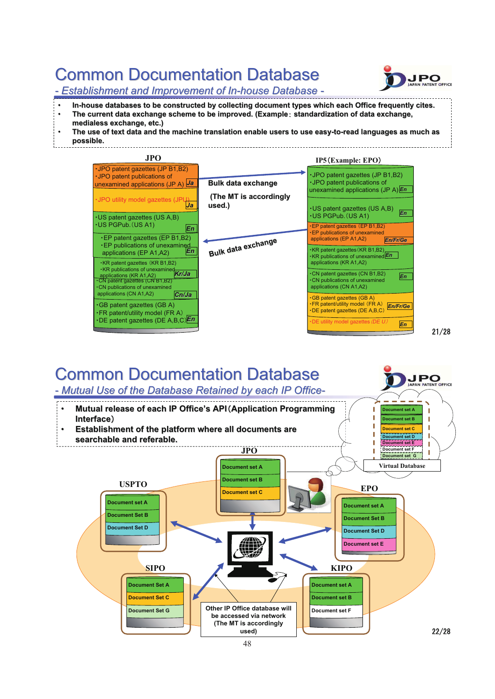## **Common Documentation Database**



 $21/28$ 

*- Establishment and Improvement of In-house Database house Database -*

- 
- **In-house databases to be constructed by collecting document types which each Office frequently cites. hich each Office frequently cites. The current data exchange scheme to be improved. The current data scheme to improved. (Example standardization of data exchange, data exchange, medialess exchange, etc.) medialess exchange, etc.)**
- The use of text data and the machine translation enable users to use easy-to-read languages as much as
- **possible. possible.**



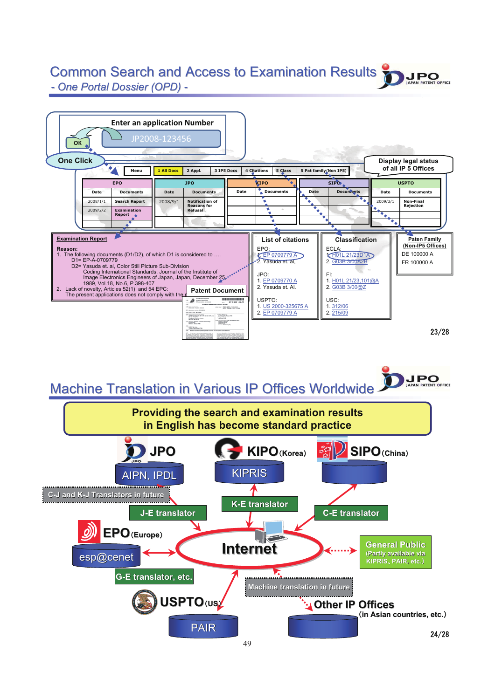## Common Search and Access to Examination Results

**JPO** 

 $-$  *One Portal Dossier (OPD) -*

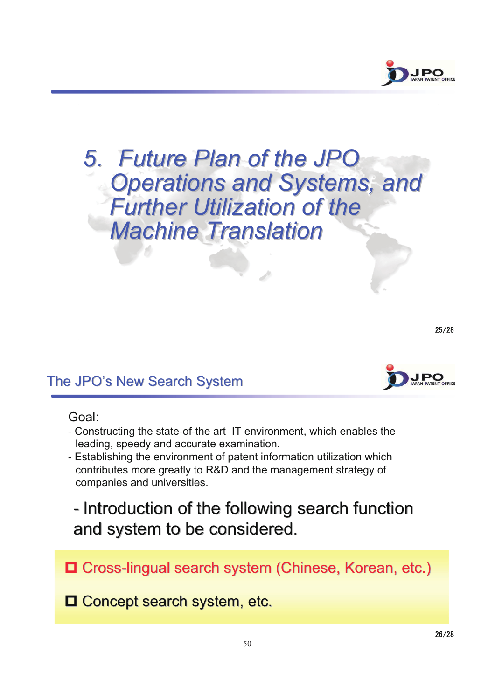

## *5 Future Plan of the JPO* **Operations and Systems, and Further Utilization of the** *Machine Translation Machine Translation*

 $25/28$ 

#### The JPO's New Search System

#### Goal:

- Constructing the state-of-the art IT environment, which enables the leading, speedy and accurate examination.
- Establishing the environment of patent information utilization which contributes more greatly to R&D and the management strategy of companies and universities.

- Introduction of the following search function and system to be considered.

Cross-lingual search system (Chinese, Korean, etc.) lingual search system (Chinese, Korean, etc.)

 $\Box$  Concept search system, etc.